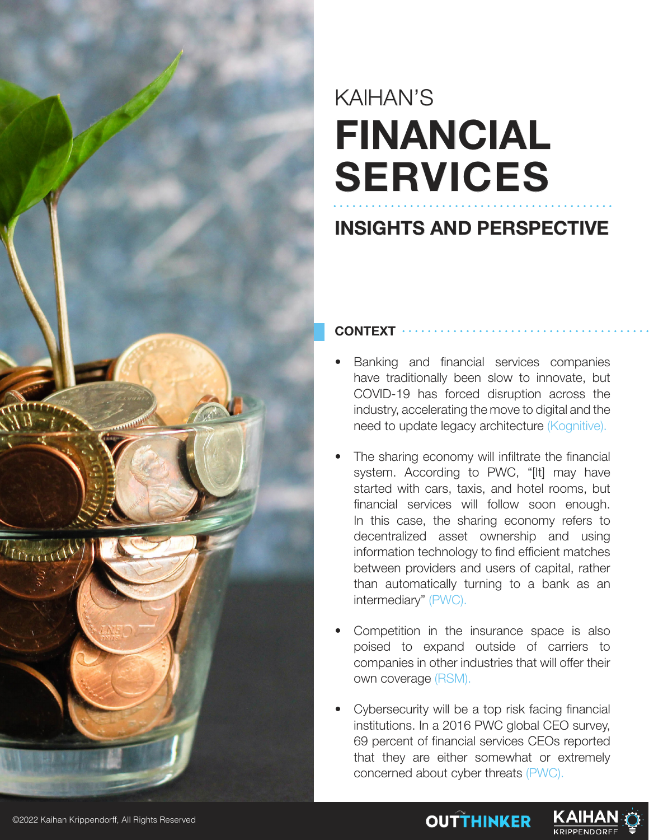

# KAIHAN'S **FINANCIAL SERVICES**

### **INSIGHTS AND PERSPECTIVE**

#### **CONTEXT**

- Banking and financial services companies have traditionally been slow to innovate, but COVID-19 has forced disruption across the industry, accelerating the move to digital and the need to update legacy architecture (Kognitive).
- The sharing economy will infiltrate the financial system. According to PWC, "[It] may have started with cars, taxis, and hotel rooms, but financial services will follow soon enough. In this case, the sharing economy refers to decentralized asset ownership and using information technology to find efficient matches between providers and users of capital, rather than automatically turning to a bank as an intermediary" (PWC).
- Competition in the insurance space is also poised to expand outside of carriers to companies in other industries that will offer their own coverage (RSM).
- Cybersecurity will be a top risk facing financial institutions. In a 2016 PWC global CEO survey, 69 percent of financial services CEOs reported that they are either somewhat or extremely concerned about cyber threats (PWC).

**OUTTHINKER** 

KAIHA

KRIPPENDORI

©2022 Kaihan Krippendorff, All Rights Reserved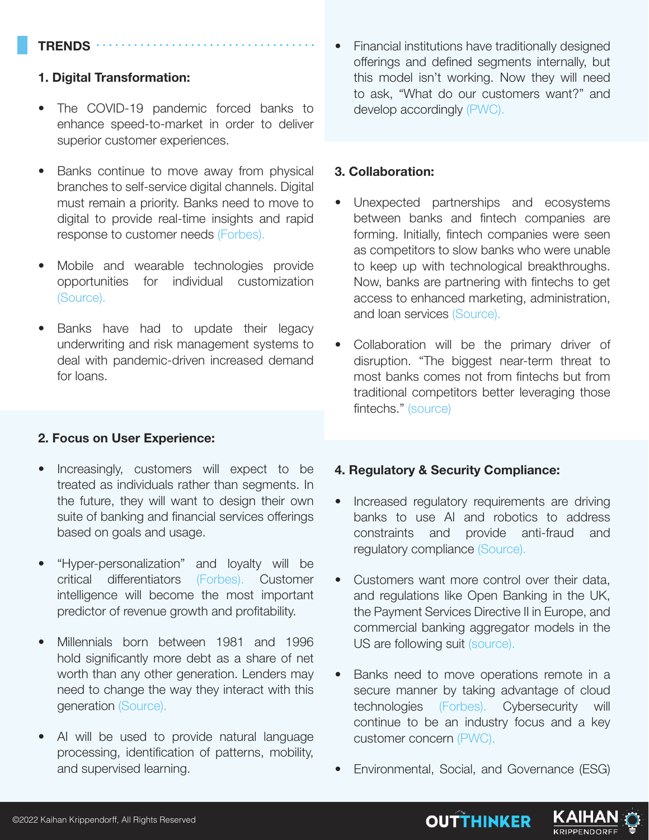#### **TRENDS**

#### **1. Digital Transformation:**

- The COVID-19 pandemic forced banks to enhance speed-to-market in order to deliver superior customer experiences.
- Banks continue to move away from physical branches to self-service digital channels. Digital must remain a priority. Banks need to move to digital to provide real-time insights and rapid response to customer needs (Forbes).
- Mobile and wearable technologies provide opportunities for individual customization (Source).
- Banks have had to update their legacy underwriting and risk management systems to deal with pandemic-driven increased demand for loans.

#### **2. Focus on User Experience:**

- Increasingly, customers will expect to be treated as individuals rather than segments. In the future, they will want to design their own suite of banking and financial services offerings based on goals and usage.
- "Hyper-personalization" and loyalty will be critical differentiators (Forbes). Customer intelligence will become the most important predictor of revenue growth and profitability.
- Millennials born between 1981 and 1996 hold significantly more debt as a share of net worth than any other generation. Lenders may need to change the way they interact with this generation (Source).
- AI will be used to provide natural language processing, identification of patterns, mobility, and supervised learning.

• Financial institutions have traditionally designed offerings and defined segments internally, but this model isn't working. Now they will need to ask, "What do our customers want?" and develop accordingly (PWC).

#### **3. Collaboration:**

- Unexpected partnerships and ecosystems between banks and fintech companies are forming. Initially, fintech companies were seen as competitors to slow banks who were unable to keep up with technological breakthroughs. Now, banks are partnering with fintechs to get access to enhanced marketing, administration, and loan services (Source).
- Collaboration will be the primary driver of disruption. "The biggest near-term threat to most banks comes not from fintechs but from traditional competitors better leveraging those fintechs." (source)

#### **4. Regulatory & Security Compliance:**

- Increased regulatory requirements are driving banks to use AI and robotics to address constraints and provide anti-fraud and regulatory compliance (Source).
- Customers want more control over their data, and regulations like Open Banking in the UK, the Payment Services Directive II in Europe, and commercial banking aggregator models in the US are following suit (source).
- Banks need to move operations remote in a secure manner by taking advantage of cloud technologies (Forbes). Cybersecurity will continue to be an industry focus and a key customer concern (PWC).
- Environmental, Social, and Governance (ESG)



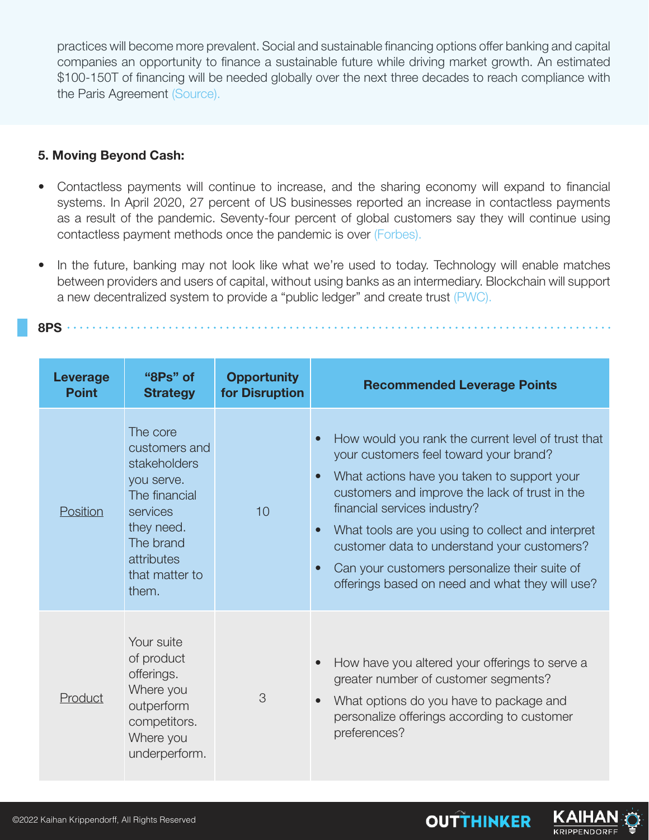practices will become more prevalent. Social and sustainable financing options offer banking and capital companies an opportunity to finance a sustainable future while driving market growth. An estimated \$100-150T of financing will be needed globally over the next three decades to reach compliance with the Paris Agreement (Source).

#### **5. Moving Beyond Cash:**

- Contactless payments will continue to increase, and the sharing economy will expand to financial systems. In April 2020, 27 percent of US businesses reported an increase in contactless payments as a result of the pandemic. Seventy-four percent of global customers say they will continue using contactless payment methods once the pandemic is over (Forbes).
- In the future, banking may not look like what we're used to today. Technology will enable matches between providers and users of capital, without using banks as an intermediary. Blockchain will support a new decentralized system to provide a "public ledger" and create trust (PWC).

**8PS**

| Leverage<br><b>Point</b> | "8Ps" of<br><b>Strategy</b>                                                                                                                              | <b>Opportunity</b><br>for Disruption | <b>Recommended Leverage Points</b>                                                                                                                                                                                                                                                                                                                                                                                                                 |
|--------------------------|----------------------------------------------------------------------------------------------------------------------------------------------------------|--------------------------------------|----------------------------------------------------------------------------------------------------------------------------------------------------------------------------------------------------------------------------------------------------------------------------------------------------------------------------------------------------------------------------------------------------------------------------------------------------|
| Position                 | The core<br>customers and<br>stakeholders<br>you serve.<br>The financial<br>services<br>they need.<br>The brand<br>attributes<br>that matter to<br>them. | 10                                   | How would you rank the current level of trust that<br>your customers feel toward your brand?<br>What actions have you taken to support your<br>customers and improve the lack of trust in the<br>financial services industry?<br>What tools are you using to collect and interpret<br>$\bullet$<br>customer data to understand your customers?<br>Can your customers personalize their suite of<br>offerings based on need and what they will use? |
| Product                  | Your suite<br>of product<br>offerings.<br>Where you<br>outperform<br>competitors.<br>Where you<br>underperform.                                          | 3                                    | How have you altered your offerings to serve a<br>greater number of customer segments?<br>What options do you have to package and<br>personalize offerings according to customer<br>preferences?                                                                                                                                                                                                                                                   |

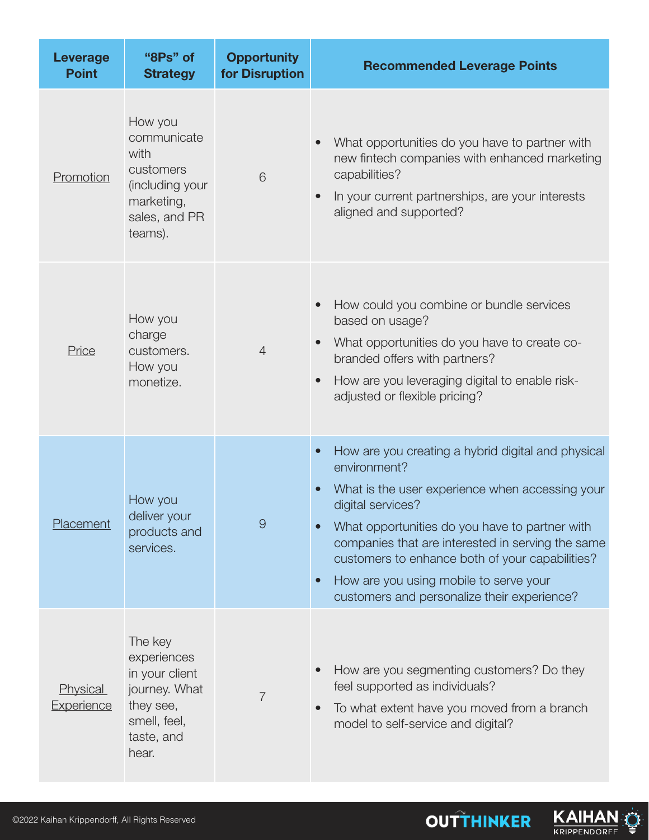| <b>Leverage</b><br><b>Point</b> | "8Ps" of<br><b>Strategy</b>                                                                                   | <b>Opportunity</b><br>for Disruption | <b>Recommended Leverage Points</b>                                                                                                                                                                                                                                                                                                                                                                                                                |
|---------------------------------|---------------------------------------------------------------------------------------------------------------|--------------------------------------|---------------------------------------------------------------------------------------------------------------------------------------------------------------------------------------------------------------------------------------------------------------------------------------------------------------------------------------------------------------------------------------------------------------------------------------------------|
| Promotion                       | How you<br>communicate<br>with<br>customers<br>(including your<br>marketing,<br>sales, and PR<br>teams).      | 6                                    | What opportunities do you have to partner with<br>new fintech companies with enhanced marketing<br>capabilities?<br>In your current partnerships, are your interests<br>aligned and supported?                                                                                                                                                                                                                                                    |
| Price                           | How you<br>charge<br>customers.<br>How you<br>monetize.                                                       | $\overline{4}$                       | How could you combine or bundle services<br>based on usage?<br>What opportunities do you have to create co-<br>branded offers with partners?<br>How are you leveraging digital to enable risk-<br>adjusted or flexible pricing?                                                                                                                                                                                                                   |
| Placement                       | How you<br>deliver your<br>products and<br>services.                                                          | $\Theta$                             | How are you creating a hybrid digital and physical<br>$\bullet$<br>environment?<br>What is the user experience when accessing your<br>$\bullet$<br>digital services?<br>What opportunities do you have to partner with<br>$\bullet$<br>companies that are interested in serving the same<br>customers to enhance both of your capabilities?<br>How are you using mobile to serve your<br>$\bullet$<br>customers and personalize their experience? |
| Physical<br>Experience          | The key<br>experiences<br>in your client<br>journey. What<br>they see,<br>smell, feel,<br>taste, and<br>hear. | $\overline{7}$                       | How are you segmenting customers? Do they<br>feel supported as individuals?<br>To what extent have you moved from a branch<br>model to self-service and digital?                                                                                                                                                                                                                                                                                  |

**OUTTHINKER** 

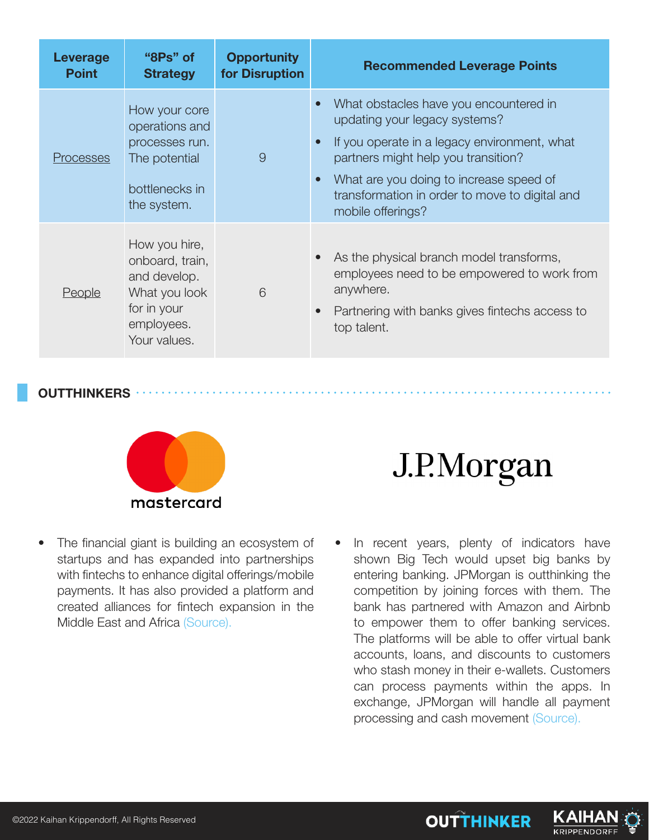| Leverage<br><b>Point</b> | "8Ps" of<br><b>Strategy</b>                                                                                    | <b>Opportunity</b><br>for Disruption | <b>Recommended Leverage Points</b>                                                                                                                                                                                                                                                                                      |
|--------------------------|----------------------------------------------------------------------------------------------------------------|--------------------------------------|-------------------------------------------------------------------------------------------------------------------------------------------------------------------------------------------------------------------------------------------------------------------------------------------------------------------------|
| <b>Processes</b>         | How your core<br>operations and<br>processes run.<br>The potential<br>bottlenecks in<br>the system.            | 9                                    | What obstacles have you encountered in<br>$\bullet$<br>updating your legacy systems?<br>If you operate in a legacy environment, what<br>$\bullet$<br>partners might help you transition?<br>What are you doing to increase speed of<br>$\bullet$<br>transformation in order to move to digital and<br>mobile offerings? |
| <b>People</b>            | How you hire,<br>onboard, train,<br>and develop.<br>What you look<br>for in your<br>employees.<br>Your values. | 6                                    | As the physical branch model transforms,<br>employees need to be empowered to work from<br>anywhere.<br>Partnering with banks gives fintechs access to<br>$\bullet$<br>top talent.                                                                                                                                      |

#### **OUTTHINKERS**



• The financial giant is building an ecosystem of startups and has expanded into partnerships with fintechs to enhance digital offerings/mobile payments. It has also provided a platform and created alliances for fintech expansion in the Middle East and Africa (Source).

## J.P.Morgan

In recent years, plenty of indicators have shown Big Tech would upset big banks by entering banking. JPMorgan is outthinking the competition by joining forces with them. The bank has partnered with Amazon and Airbnb to empower them to offer banking services. The platforms will be able to offer virtual bank accounts, loans, and discounts to customers who stash money in their e-wallets. Customers can process payments within the apps. In exchange, JPMorgan will handle all payment processing and cash movement (Source).



**KRIPPENDORI**